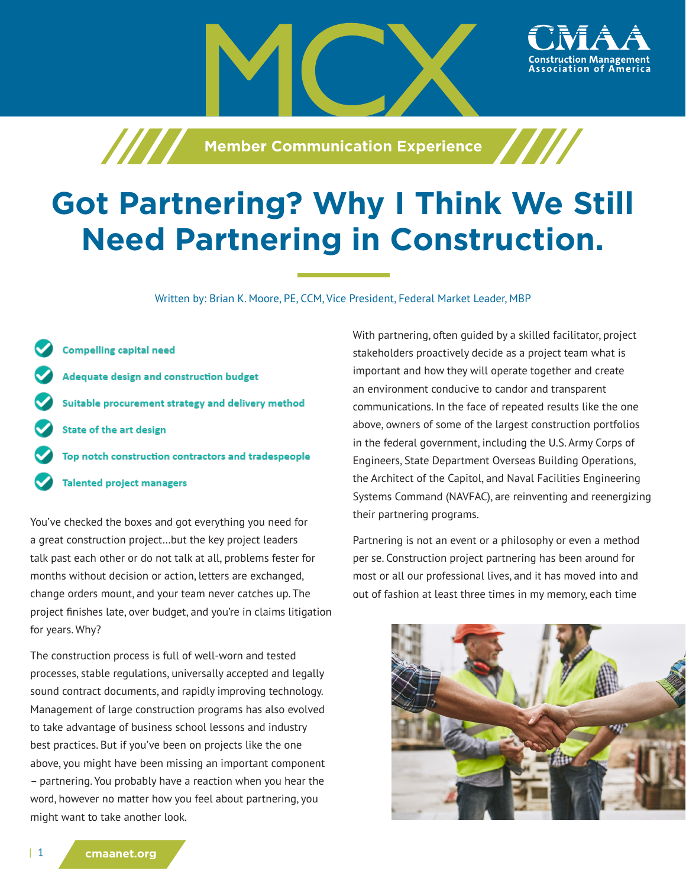**Machia School of The Member Communication Experience** 



## **Got Partnering? Why I Think We Still Need Partnering in Construction.**

Written by: Brian K. Moore, PE, CCM, Vice President, Federal Market Leader, MBP

**Compelling capital need** Adequate design and construction budget Suitable procurement strategy and delivery method **State of the art design** Top notch construction contractors and tradespeople **Talented project managers** 

You've checked the boxes and got everything you need for a great construction project…but the key project leaders talk past each other or do not talk at all, problems fester for months without decision or action, letters are exchanged, change orders mount, and your team never catches up. The project finishes late, over budget, and you're in claims litigation for years. Why?

The construction process is full of well-worn and tested processes, stable regulations, universally accepted and legally sound contract documents, and rapidly improving technology. Management of large construction programs has also evolved to take advantage of business school lessons and industry best practices. But if you've been on projects like the one above, you might have been missing an important component – partnering. You probably have a reaction when you hear the word, however no matter how you feel about partnering, you might want to take another look.

With partnering, often guided by a skilled facilitator, project stakeholders proactively decide as a project team what is important and how they will operate together and create an environment conducive to candor and transparent communications. In the face of repeated results like the one above, owners of some of the largest construction portfolios in the federal government, including the U.S. Army Corps of Engineers, State Department Overseas Building Operations, the Architect of the Capitol, and Naval Facilities Engineering Systems Command (NAVFAC), are reinventing and reenergizing their partnering programs.

Partnering is not an event or a philosophy or even a method per se. Construction project partnering has been around for most or all our professional lives, and it has moved into and out of fashion at least three times in my memory, each time

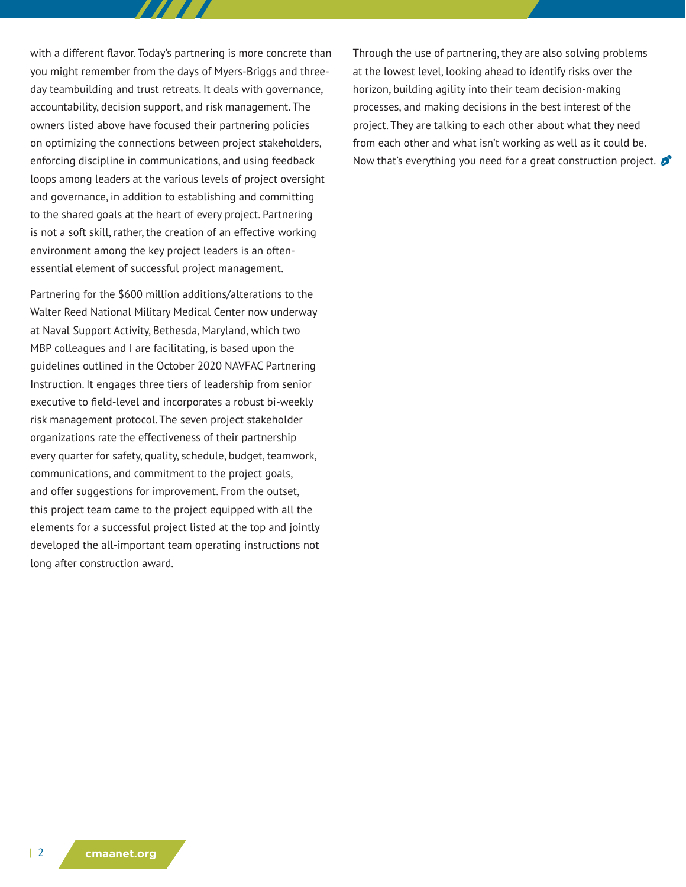with a different flavor. Today's partnering is more concrete than you might remember from the days of Myers-Briggs and threeday teambuilding and trust retreats. It deals with governance, accountability, decision support, and risk management. The owners listed above have focused their partnering policies on optimizing the connections between project stakeholders, enforcing discipline in communications, and using feedback loops among leaders at the various levels of project oversight and governance, in addition to establishing and committing to the shared goals at the heart of every project. Partnering is not a soft skill, rather, the creation of an effective working environment among the key project leaders is an oftenessential element of successful project management.

Partnering for the \$600 million additions/alterations to the Walter Reed National Military Medical Center now underway at Naval Support Activity, Bethesda, Maryland, which two MBP colleagues and I are facilitating, is based upon the guidelines outlined in the October 2020 NAVFAC Partnering Instruction. It engages three tiers of leadership from senior executive to field-level and incorporates a robust bi-weekly risk management protocol. The seven project stakeholder organizations rate the effectiveness of their partnership every quarter for safety, quality, schedule, budget, teamwork, communications, and commitment to the project goals, and offer suggestions for improvement. From the outset, this project team came to the project equipped with all the elements for a successful project listed at the top and jointly developed the all-important team operating instructions not long after construction award.

Through the use of partnering, they are also solving problems at the lowest level, looking ahead to identify risks over the horizon, building agility into their team decision-making processes, and making decisions in the best interest of the project. They are talking to each other about what they need from each other and what isn't working as well as it could be. Now that's everything you need for a great construction project.  $\mathcal{L}$